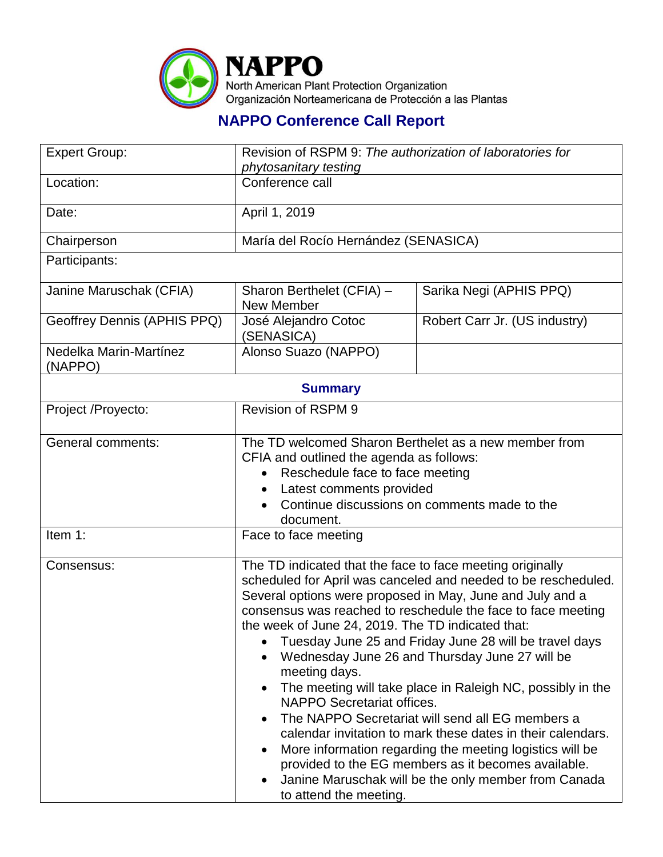

## **NAPPO Conference Call Report**

| <b>Expert Group:</b>              | Revision of RSPM 9: The authorization of laboratories for                                                                                                                               |                                                                                                                                                                                                                                                                                                                                                                                                                                                                                                                                                                                                                                                                     |  |
|-----------------------------------|-----------------------------------------------------------------------------------------------------------------------------------------------------------------------------------------|---------------------------------------------------------------------------------------------------------------------------------------------------------------------------------------------------------------------------------------------------------------------------------------------------------------------------------------------------------------------------------------------------------------------------------------------------------------------------------------------------------------------------------------------------------------------------------------------------------------------------------------------------------------------|--|
| Location:                         | phytosanitary testing<br>Conference call                                                                                                                                                |                                                                                                                                                                                                                                                                                                                                                                                                                                                                                                                                                                                                                                                                     |  |
|                                   |                                                                                                                                                                                         |                                                                                                                                                                                                                                                                                                                                                                                                                                                                                                                                                                                                                                                                     |  |
| Date:                             | April 1, 2019                                                                                                                                                                           |                                                                                                                                                                                                                                                                                                                                                                                                                                                                                                                                                                                                                                                                     |  |
| Chairperson                       | María del Rocío Hernández (SENASICA)                                                                                                                                                    |                                                                                                                                                                                                                                                                                                                                                                                                                                                                                                                                                                                                                                                                     |  |
| Participants:                     |                                                                                                                                                                                         |                                                                                                                                                                                                                                                                                                                                                                                                                                                                                                                                                                                                                                                                     |  |
| Janine Maruschak (CFIA)           | Sharon Berthelet (CFIA) -<br><b>New Member</b>                                                                                                                                          | Sarika Negi (APHIS PPQ)                                                                                                                                                                                                                                                                                                                                                                                                                                                                                                                                                                                                                                             |  |
| Geoffrey Dennis (APHIS PPQ)       | José Alejandro Cotoc<br>(SENASICA)                                                                                                                                                      | Robert Carr Jr. (US industry)                                                                                                                                                                                                                                                                                                                                                                                                                                                                                                                                                                                                                                       |  |
| Nedelka Marin-Martínez<br>(NAPPO) | Alonso Suazo (NAPPO)                                                                                                                                                                    |                                                                                                                                                                                                                                                                                                                                                                                                                                                                                                                                                                                                                                                                     |  |
| <b>Summary</b>                    |                                                                                                                                                                                         |                                                                                                                                                                                                                                                                                                                                                                                                                                                                                                                                                                                                                                                                     |  |
| Project /Proyecto:                | <b>Revision of RSPM 9</b>                                                                                                                                                               |                                                                                                                                                                                                                                                                                                                                                                                                                                                                                                                                                                                                                                                                     |  |
|                                   |                                                                                                                                                                                         |                                                                                                                                                                                                                                                                                                                                                                                                                                                                                                                                                                                                                                                                     |  |
| <b>General comments:</b>          | The TD welcomed Sharon Berthelet as a new member from<br>CFIA and outlined the agenda as follows:<br>Reschedule face to face meeting<br>Latest comments provided                        |                                                                                                                                                                                                                                                                                                                                                                                                                                                                                                                                                                                                                                                                     |  |
|                                   |                                                                                                                                                                                         |                                                                                                                                                                                                                                                                                                                                                                                                                                                                                                                                                                                                                                                                     |  |
|                                   |                                                                                                                                                                                         |                                                                                                                                                                                                                                                                                                                                                                                                                                                                                                                                                                                                                                                                     |  |
|                                   | Continue discussions on comments made to the                                                                                                                                            |                                                                                                                                                                                                                                                                                                                                                                                                                                                                                                                                                                                                                                                                     |  |
|                                   | document.                                                                                                                                                                               |                                                                                                                                                                                                                                                                                                                                                                                                                                                                                                                                                                                                                                                                     |  |
| Item 1:                           | Face to face meeting                                                                                                                                                                    |                                                                                                                                                                                                                                                                                                                                                                                                                                                                                                                                                                                                                                                                     |  |
| Consensus:                        | The TD indicated that the face to face meeting originally<br>the week of June 24, 2019. The TD indicated that:<br>meeting days.<br>NAPPO Secretariat offices.<br>to attend the meeting. | scheduled for April was canceled and needed to be rescheduled.<br>Several options were proposed in May, June and July and a<br>consensus was reached to reschedule the face to face meeting<br>Tuesday June 25 and Friday June 28 will be travel days<br>Wednesday June 26 and Thursday June 27 will be<br>The meeting will take place in Raleigh NC, possibly in the<br>The NAPPO Secretariat will send all EG members a<br>calendar invitation to mark these dates in their calendars.<br>More information regarding the meeting logistics will be<br>provided to the EG members as it becomes available.<br>Janine Maruschak will be the only member from Canada |  |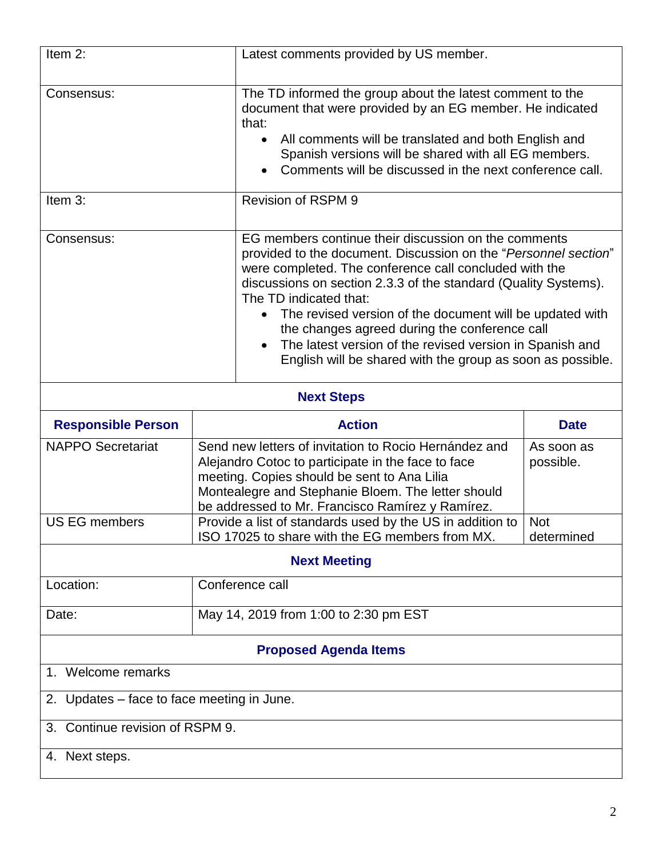| Item 2:                                    | Latest comments provided by US member.                                                                                                                                                                                                                               |                                                                                                                                                                                                                                                                                                                                                                                                                                                                                             |  |  |
|--------------------------------------------|----------------------------------------------------------------------------------------------------------------------------------------------------------------------------------------------------------------------------------------------------------------------|---------------------------------------------------------------------------------------------------------------------------------------------------------------------------------------------------------------------------------------------------------------------------------------------------------------------------------------------------------------------------------------------------------------------------------------------------------------------------------------------|--|--|
| Consensus:                                 | that:                                                                                                                                                                                                                                                                | The TD informed the group about the latest comment to the<br>document that were provided by an EG member. He indicated<br>All comments will be translated and both English and<br>Spanish versions will be shared with all EG members.<br>Comments will be discussed in the next conference call.                                                                                                                                                                                           |  |  |
| Item 3:                                    | Revision of RSPM 9                                                                                                                                                                                                                                                   |                                                                                                                                                                                                                                                                                                                                                                                                                                                                                             |  |  |
| Consensus:                                 | The TD indicated that:<br>$\bullet$                                                                                                                                                                                                                                  | EG members continue their discussion on the comments<br>provided to the document. Discussion on the "Personnel section"<br>were completed. The conference call concluded with the<br>discussions on section 2.3.3 of the standard (Quality Systems).<br>The revised version of the document will be updated with<br>the changes agreed during the conference call<br>The latest version of the revised version in Spanish and<br>English will be shared with the group as soon as possible. |  |  |
| <b>Next Steps</b>                          |                                                                                                                                                                                                                                                                      |                                                                                                                                                                                                                                                                                                                                                                                                                                                                                             |  |  |
|                                            |                                                                                                                                                                                                                                                                      |                                                                                                                                                                                                                                                                                                                                                                                                                                                                                             |  |  |
| <b>Responsible Person</b>                  | <b>Action</b>                                                                                                                                                                                                                                                        | <b>Date</b>                                                                                                                                                                                                                                                                                                                                                                                                                                                                                 |  |  |
| <b>NAPPO Secretariat</b>                   | Send new letters of invitation to Rocio Hernández and<br>Alejandro Cotoc to participate in the face to face<br>meeting. Copies should be sent to Ana Lilia<br>Montealegre and Stephanie Bloem. The letter should<br>be addressed to Mr. Francisco Ramírez y Ramírez. | As soon as<br>possible.                                                                                                                                                                                                                                                                                                                                                                                                                                                                     |  |  |
| <b>US EG members</b>                       | Provide a list of standards used by the US in addition to<br>ISO 17025 to share with the EG members from MX.                                                                                                                                                         | <b>Not</b><br>determined                                                                                                                                                                                                                                                                                                                                                                                                                                                                    |  |  |
|                                            | <b>Next Meeting</b>                                                                                                                                                                                                                                                  |                                                                                                                                                                                                                                                                                                                                                                                                                                                                                             |  |  |
| Location:                                  | Conference call                                                                                                                                                                                                                                                      |                                                                                                                                                                                                                                                                                                                                                                                                                                                                                             |  |  |
| Date:                                      | May 14, 2019 from 1:00 to 2:30 pm EST                                                                                                                                                                                                                                |                                                                                                                                                                                                                                                                                                                                                                                                                                                                                             |  |  |
|                                            | <b>Proposed Agenda Items</b>                                                                                                                                                                                                                                         |                                                                                                                                                                                                                                                                                                                                                                                                                                                                                             |  |  |
| 1. Welcome remarks                         |                                                                                                                                                                                                                                                                      |                                                                                                                                                                                                                                                                                                                                                                                                                                                                                             |  |  |
| 2. Updates – face to face meeting in June. |                                                                                                                                                                                                                                                                      |                                                                                                                                                                                                                                                                                                                                                                                                                                                                                             |  |  |
| Continue revision of RSPM 9.<br>3.         |                                                                                                                                                                                                                                                                      |                                                                                                                                                                                                                                                                                                                                                                                                                                                                                             |  |  |